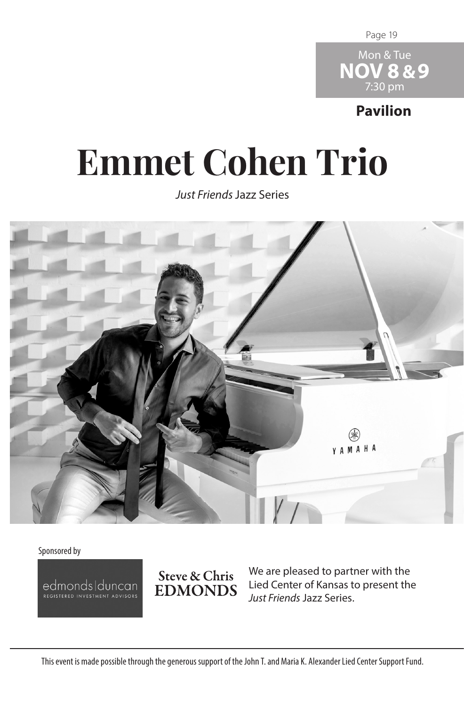Page 19



**Pavilion**

## **Emmet Cohen Trio**

*Just Friends* Jazz Series



Sponsored by

edmonds|duncan



We are pleased to partner with the Lied Center of Kansas to present the *Just Friends* Jazz Series.

This event is made possible through the generous support of the John T. and Maria K. Alexander Lied Center Support Fund.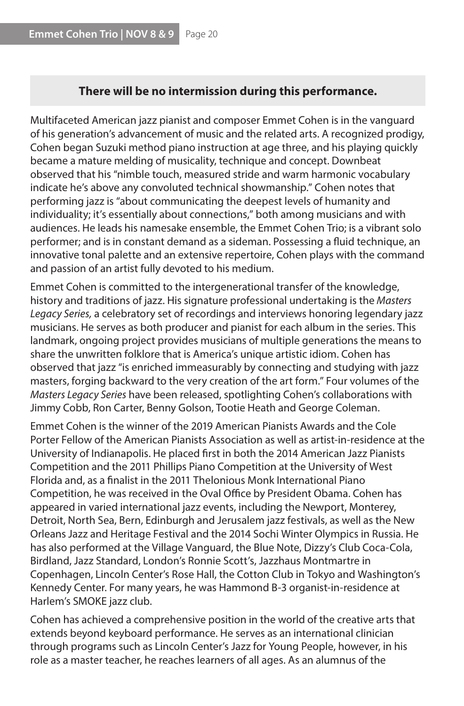## **There will be no intermission during this performance.**

Multifaceted American jazz pianist and composer Emmet Cohen is in the vanguard of his generation's advancement of music and the related arts. A recognized prodigy, Cohen began Suzuki method piano instruction at age three, and his playing quickly became a mature melding of musicality, technique and concept. Downbeat observed that his "nimble touch, measured stride and warm harmonic vocabulary indicate he's above any convoluted technical showmanship." Cohen notes that performing jazz is "about communicating the deepest levels of humanity and individuality; it's essentially about connections," both among musicians and with audiences. He leads his namesake ensemble, the Emmet Cohen Trio; is a vibrant solo performer; and is in constant demand as a sideman. Possessing a fluid technique, an innovative tonal palette and an extensive repertoire, Cohen plays with the command and passion of an artist fully devoted to his medium.

Emmet Cohen is committed to the intergenerational transfer of the knowledge, history and traditions of jazz. His signature professional undertaking is the *Masters Legacy Series,* a celebratory set of recordings and interviews honoring legendary jazz musicians. He serves as both producer and pianist for each album in the series. This landmark, ongoing project provides musicians of multiple generations the means to share the unwritten folklore that is America's unique artistic idiom. Cohen has observed that jazz "is enriched immeasurably by connecting and studying with jazz masters, forging backward to the very creation of the art form." Four volumes of the *Masters Legacy Series* have been released, spotlighting Cohen's collaborations with Jimmy Cobb, Ron Carter, Benny Golson, Tootie Heath and George Coleman.

Emmet Cohen is the winner of the 2019 American Pianists Awards and the Cole Porter Fellow of the American Pianists Association as well as artist-in-residence at the University of Indianapolis. He placed first in both the 2014 American Jazz Pianists Competition and the 2011 Phillips Piano Competition at the University of West Florida and, as a finalist in the 2011 Thelonious Monk International Piano Competition, he was received in the Oval Office by President Obama. Cohen has appeared in varied international jazz events, including the Newport, Monterey, Detroit, North Sea, Bern, Edinburgh and Jerusalem jazz festivals, as well as the New Orleans Jazz and Heritage Festival and the 2014 Sochi Winter Olympics in Russia. He has also performed at the Village Vanguard, the Blue Note, Dizzy's Club Coca-Cola, Birdland, Jazz Standard, London's Ronnie Scott's, Jazzhaus Montmartre in Copenhagen, Lincoln Center's Rose Hall, the Cotton Club in Tokyo and Washington's Kennedy Center. For many years, he was Hammond B-3 organist-in-residence at Harlem's SMOKE jazz club.

Cohen has achieved a comprehensive position in the world of the creative arts that extends beyond keyboard performance. He serves as an international clinician through programs such as Lincoln Center's Jazz for Young People, however, in his role as a master teacher, he reaches learners of all ages. As an alumnus of the